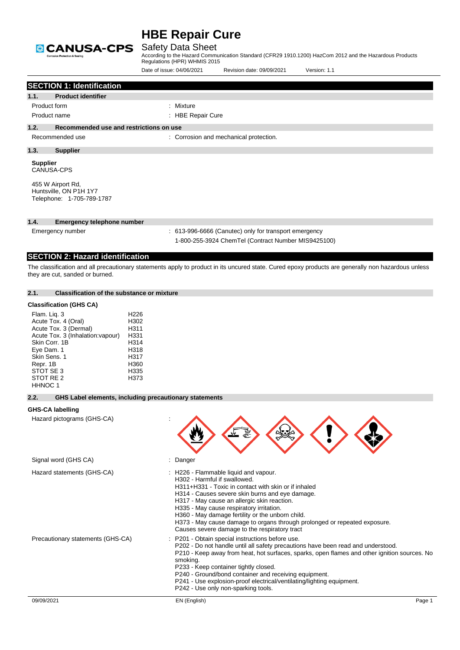

## Safety Data Sheet

|                                                                                                                                                                         |                                                        |                                                                                          | Date of issue: 04/06/2021    | Revision date: 09/09/2021                                                                                                                                                                                                                                                                                                                        | Version: 1.1                                                                                                                                                                     |
|-------------------------------------------------------------------------------------------------------------------------------------------------------------------------|--------------------------------------------------------|------------------------------------------------------------------------------------------|------------------------------|--------------------------------------------------------------------------------------------------------------------------------------------------------------------------------------------------------------------------------------------------------------------------------------------------------------------------------------------------|----------------------------------------------------------------------------------------------------------------------------------------------------------------------------------|
|                                                                                                                                                                         | <b>SECTION 1: Identification</b>                       |                                                                                          |                              |                                                                                                                                                                                                                                                                                                                                                  |                                                                                                                                                                                  |
| 1.1.                                                                                                                                                                    | <b>Product identifier</b>                              |                                                                                          |                              |                                                                                                                                                                                                                                                                                                                                                  |                                                                                                                                                                                  |
| Product form                                                                                                                                                            |                                                        |                                                                                          | : Mixture                    |                                                                                                                                                                                                                                                                                                                                                  |                                                                                                                                                                                  |
| Product name                                                                                                                                                            |                                                        |                                                                                          | : HBE Repair Cure            |                                                                                                                                                                                                                                                                                                                                                  |                                                                                                                                                                                  |
| 1.2.                                                                                                                                                                    | Recommended use and restrictions on use                |                                                                                          |                              |                                                                                                                                                                                                                                                                                                                                                  |                                                                                                                                                                                  |
| Recommended use                                                                                                                                                         |                                                        |                                                                                          |                              | : Corrosion and mechanical protection.                                                                                                                                                                                                                                                                                                           |                                                                                                                                                                                  |
| 1.3.<br><b>Supplier</b>                                                                                                                                                 |                                                        |                                                                                          |                              |                                                                                                                                                                                                                                                                                                                                                  |                                                                                                                                                                                  |
| <b>Supplier</b><br><b>CANUSA-CPS</b><br>455 W Airport Rd,<br>Huntsville, ON P1H 1Y7                                                                                     |                                                        |                                                                                          |                              |                                                                                                                                                                                                                                                                                                                                                  |                                                                                                                                                                                  |
| Telephone: 1-705-789-1787                                                                                                                                               |                                                        |                                                                                          |                              |                                                                                                                                                                                                                                                                                                                                                  |                                                                                                                                                                                  |
| 1.4.                                                                                                                                                                    | <b>Emergency telephone number</b>                      |                                                                                          |                              |                                                                                                                                                                                                                                                                                                                                                  |                                                                                                                                                                                  |
| Emergency number                                                                                                                                                        |                                                        |                                                                                          |                              | : 613-996-6666 (Canutec) only for transport emergency                                                                                                                                                                                                                                                                                            |                                                                                                                                                                                  |
|                                                                                                                                                                         |                                                        |                                                                                          |                              | 1-800-255-3924 ChemTel (Contract Number MIS9425100)                                                                                                                                                                                                                                                                                              |                                                                                                                                                                                  |
|                                                                                                                                                                         | <b>SECTION 2: Hazard identification</b>                |                                                                                          |                              |                                                                                                                                                                                                                                                                                                                                                  |                                                                                                                                                                                  |
| they are cut, sanded or burned.                                                                                                                                         |                                                        |                                                                                          |                              |                                                                                                                                                                                                                                                                                                                                                  | The classification and all precautionary statements apply to product in its uncured state. Cured epoxy products are generally non hazardous unless                               |
| 2.1.                                                                                                                                                                    | <b>Classification of the substance or mixture</b>      |                                                                                          |                              |                                                                                                                                                                                                                                                                                                                                                  |                                                                                                                                                                                  |
| <b>Classification (GHS CA)</b>                                                                                                                                          |                                                        |                                                                                          |                              |                                                                                                                                                                                                                                                                                                                                                  |                                                                                                                                                                                  |
| Flam. Lig. 3<br>Acute Tox. 4 (Oral)<br>Acute Tox. 3 (Dermal)<br>Skin Corr, 1B<br>Eye Dam. 1<br>Skin Sens. 1<br>Repr. 1B<br>STOT SE 3<br>STOT RE <sub>2</sub><br>HHNOC 1 | Acute Tox. 3 (Inhalation: vapour)                      | H <sub>226</sub><br>H302<br>H311<br>H331<br>H314<br>H318<br>H317<br>H360<br>H335<br>H373 |                              |                                                                                                                                                                                                                                                                                                                                                  |                                                                                                                                                                                  |
| 2.2.                                                                                                                                                                    | GHS Label elements, including precautionary statements |                                                                                          |                              |                                                                                                                                                                                                                                                                                                                                                  |                                                                                                                                                                                  |
| <b>GHS-CA labelling</b>                                                                                                                                                 |                                                        |                                                                                          |                              |                                                                                                                                                                                                                                                                                                                                                  |                                                                                                                                                                                  |
| Hazard pictograms (GHS-CA)                                                                                                                                              |                                                        |                                                                                          |                              |                                                                                                                                                                                                                                                                                                                                                  |                                                                                                                                                                                  |
| Signal word (GHS CA)                                                                                                                                                    |                                                        |                                                                                          | Danger                       |                                                                                                                                                                                                                                                                                                                                                  |                                                                                                                                                                                  |
| Hazard statements (GHS-CA)                                                                                                                                              |                                                        |                                                                                          | H302 - Harmful if swallowed. | : H226 - Flammable liquid and vapour.<br>H311+H331 - Toxic in contact with skin or if inhaled<br>H314 - Causes severe skin burns and eye damage.<br>H317 - May cause an allergic skin reaction.<br>H335 - May cause respiratory irritation.<br>H360 - May damage fertility or the unborn child.<br>Causes severe damage to the respiratory tract | H373 - May cause damage to organs through prolonged or repeated exposure.                                                                                                        |
|                                                                                                                                                                         | Precautionary statements (GHS-CA)                      |                                                                                          | smoking.                     | P201 - Obtain special instructions before use.<br>P233 - Keep container tightly closed.<br>P240 - Ground/bond container and receiving equipment.<br>P241 - Use explosion-proof electrical/ventilating/lighting equipment.<br>P242 - Use only non-sparking tools.                                                                                 | P202 - Do not handle until all safety precautions have been read and understood.<br>P210 - Keep away from heat, hot surfaces, sparks, open flames and other ignition sources. No |
| 09/09/2021                                                                                                                                                              |                                                        |                                                                                          | EN (English)                 |                                                                                                                                                                                                                                                                                                                                                  | Page 1                                                                                                                                                                           |
|                                                                                                                                                                         |                                                        |                                                                                          |                              |                                                                                                                                                                                                                                                                                                                                                  |                                                                                                                                                                                  |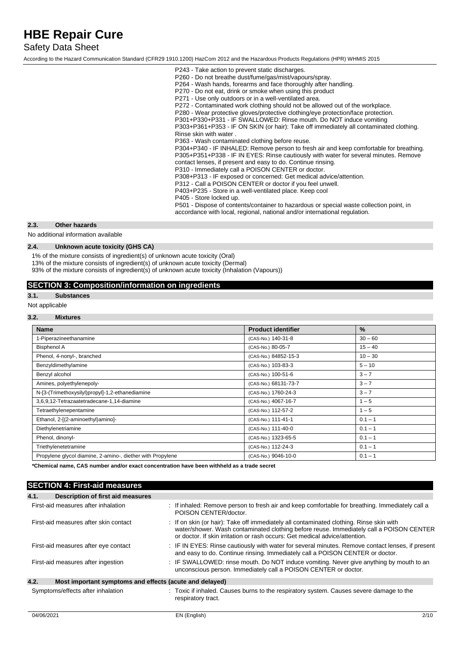## Safety Data Sheet

According to the Hazard Communication Standard (CFR29 1910.1200) HazCom 2012 and the Hazardous Products Regulations (HPR) WHMIS 2015

| P243 - Take action to prevent static discharges.<br>P260 - Do not breathe dust/fume/gas/mist/vapours/spray.<br>P264 - Wash hands, forearms and face thoroughly after handling.<br>P270 - Do not eat, drink or smoke when using this product<br>P271 - Use only outdoors or in a well-ventilated area.<br>P272 - Contaminated work clothing should not be allowed out of the workplace.<br>P280 - Wear protective gloves/protective clothing/eye protection/face protection.<br>P301+P330+P331 - IF SWALLOWED: Rinse mouth. Do NOT induce vomiting<br>P303+P361+P353 - IF ON SKIN (or hair): Take off immediately all contaminated clothing.<br>Rinse skin with water<br>P363 - Wash contaminated clothing before reuse.<br>P304+P340 - IF INHALED: Remove person to fresh air and keep comfortable for breathing.<br>P305+P351+P338 - IF IN EYES: Rinse cautiously with water for several minutes. Remove<br>contact lenses, if present and easy to do. Continue rinsing.<br>P310 - Immediately call a POISON CENTER or doctor.<br>P308+P313 - IF exposed or concerned: Get medical advice/attention.<br>P312 - Call a POISON CENTER or doctor if you feel unwell.<br>P403+P235 - Store in a well-ventilated place. Keep cool<br>P405 - Store locked up.<br>P501 - Dispose of contents/container to hazardous or special waste collection point, in |
|-----------------------------------------------------------------------------------------------------------------------------------------------------------------------------------------------------------------------------------------------------------------------------------------------------------------------------------------------------------------------------------------------------------------------------------------------------------------------------------------------------------------------------------------------------------------------------------------------------------------------------------------------------------------------------------------------------------------------------------------------------------------------------------------------------------------------------------------------------------------------------------------------------------------------------------------------------------------------------------------------------------------------------------------------------------------------------------------------------------------------------------------------------------------------------------------------------------------------------------------------------------------------------------------------------------------------------------------------------|
| accordance with local, regional, national and/or international regulation.                                                                                                                                                                                                                                                                                                                                                                                                                                                                                                                                                                                                                                                                                                                                                                                                                                                                                                                                                                                                                                                                                                                                                                                                                                                                          |
|                                                                                                                                                                                                                                                                                                                                                                                                                                                                                                                                                                                                                                                                                                                                                                                                                                                                                                                                                                                                                                                                                                                                                                                                                                                                                                                                                     |

### **2.3. Other hazards**

No additional information available

## **2.4. Unknown acute toxicity (GHS CA)**

1% of the mixture consists of ingredient(s) of unknown acute toxicity (Oral)

13% of the mixture consists of ingredient(s) of unknown acute toxicity (Dermal)

93% of the mixture consists of ingredient(s) of unknown acute toxicity (Inhalation (Vapours))

## **SECTION 3: Composition/information on ingredients**

## **3.1. Substances**

Not applicable

### **3.2. Mixtures**

| <b>Name</b>                                                | <b>Product identifier</b> | $\%$      |
|------------------------------------------------------------|---------------------------|-----------|
| 1-Piperazineethanamine                                     | (CAS-No.) 140-31-8        | $30 - 60$ |
| <b>Bisphenol A</b>                                         | (CAS-No.) 80-05-7         | $15 - 40$ |
| Phenol, 4-nonyl-, branched                                 | (CAS-No.) 84852-15-3      | $10 - 30$ |
| Benzyldimethylamine                                        | (CAS-No.) 103-83-3        | $5 - 10$  |
| Benzyl alcohol                                             | (CAS-No.) 100-51-6        | $3 - 7$   |
| Amines, polyethylenepoly-                                  | (CAS-No.) 68131-73-7      | $3 - 7$   |
| N-[3-(Trimethoxysilyl)propyl]-1,2-ethanediamine            | (CAS-No.) 1760-24-3       | $3 - 7$   |
| 3,6,9,12-Tetrazaatetradecane-1,14-diamine                  | (CAS-No.) 4067-16-7       | $1 - 5$   |
| Tetraethylenepentamine                                     | (CAS-No.) 112-57-2        | $1 - 5$   |
| Ethanol, 2-[(2-aminoethyl)amino]-                          | (CAS-No.) 111-41-1        | $0.1 - 1$ |
| Diethylenetriamine                                         | (CAS-No.) 111-40-0        | $0.1 - 1$ |
| Phenol, dinonyl-                                           | (CAS-No.) 1323-65-5       | $0.1 - 1$ |
| Triethylenetetramine                                       | (CAS-No.) 112-24-3        | $0.1 - 1$ |
| Propylene glycol diamine, 2-amino-, diether with Propylene | (CAS-No.) 9046-10-0       | $0.1 - 1$ |

**\*Chemical name, CAS number and/or exact concentration have been withheld as a trade secret**

## **SECTION 4: First-aid measures**

| 4.1.<br>Description of first aid measures                       |                                                                                                                                                                                                                                                                   |
|-----------------------------------------------------------------|-------------------------------------------------------------------------------------------------------------------------------------------------------------------------------------------------------------------------------------------------------------------|
| First-aid measures after inhalation                             | : If inhaled: Remove person to fresh air and keep comfortable for breathing. Immediately call a<br>POISON CENTER/doctor.                                                                                                                                          |
| First-aid measures after skin contact                           | : If on skin (or hair): Take off immediately all contaminated clothing. Rinse skin with<br>water/shower. Wash contaminated clothing before reuse. Immediately call a POISON CENTER<br>or doctor. If skin irritation or rash occurs: Get medical advice/attention. |
| First-aid measures after eye contact                            | : IF IN EYES: Rinse cautiously with water for several minutes. Remove contact lenses, if present<br>and easy to do. Continue rinsing. Immediately call a POISON CENTER or doctor.                                                                                 |
| First-aid measures after ingestion                              | : IF SWALLOWED: rinse mouth. Do NOT induce vomiting. Never give anything by mouth to an<br>unconscious person. Immediately call a POISON CENTER or doctor.                                                                                                        |
| 4.2.<br>Most important symptoms and effects (acute and delayed) |                                                                                                                                                                                                                                                                   |
| Symptoms/effects after inhalation                               | : Toxic if inhaled. Causes burns to the respiratory system. Causes severe damage to the<br>respiratory tract.                                                                                                                                                     |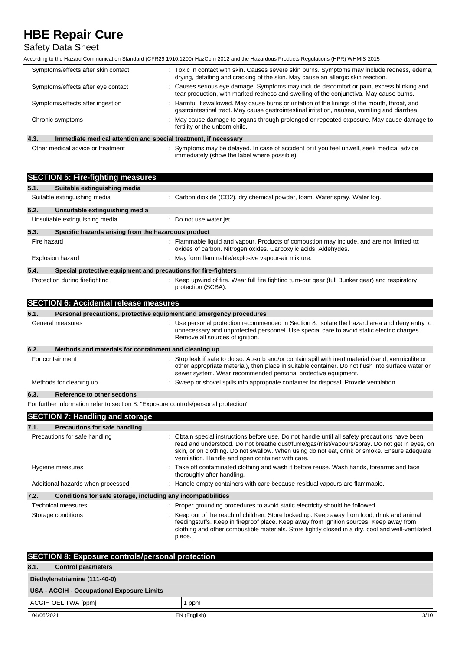## Safety Data Sheet

According to the Hazard Communication Standard (CFR29 1910.1200) HazCom 2012 and the Hazardous Products Regulations (HPR) WHMIS 2015

| Symptoms/effects after skin contact                                                  | : Toxic in contact with skin. Causes severe skin burns. Symptoms may include redness, edema,<br>drying, defatting and cracking of the skin. May cause an allergic skin reaction.                |
|--------------------------------------------------------------------------------------|-------------------------------------------------------------------------------------------------------------------------------------------------------------------------------------------------|
| Symptoms/effects after eye contact                                                   | : Causes serious eye damage. Symptoms may include discomfort or pain, excess blinking and<br>tear production, with marked redness and swelling of the conjunctiva. May cause burns.             |
| Symptoms/effects after ingestion                                                     | : Harmful if swallowed. May cause burns or irritation of the linings of the mouth, throat, and<br>gastrointestinal tract. May cause gastrointestinal irritation, nausea, vomiting and diarrhea. |
| Chronic symptoms                                                                     | : May cause damage to organs through prolonged or repeated exposure. May cause damage to<br>fertility or the unborn child.                                                                      |
| $\sqrt{2}$<br>located algebra and distribution and engelist tractment. If necessary, |                                                                                                                                                                                                 |

**4.3. Immediate medical attention and special treatment, if necessary**

Other medical advice or treatment : Symptoms may be delayed. In case of accident or if you feel unwell, seek medical advice immediately (show the label where possible).

|                                   | <b>SECTION 5: Fire-fighting measures</b>                       |                                                                                                                                                                                                                                                                                                                                                     |
|-----------------------------------|----------------------------------------------------------------|-----------------------------------------------------------------------------------------------------------------------------------------------------------------------------------------------------------------------------------------------------------------------------------------------------------------------------------------------------|
| 5.1.                              | Suitable extinguishing media                                   |                                                                                                                                                                                                                                                                                                                                                     |
| Suitable extinguishing media      |                                                                | : Carbon dioxide (CO2), dry chemical powder, foam. Water spray. Water fog.                                                                                                                                                                                                                                                                          |
| 5.2.                              | Unsuitable extinguishing media                                 |                                                                                                                                                                                                                                                                                                                                                     |
| Unsuitable extinguishing media    |                                                                | : Do not use water jet.                                                                                                                                                                                                                                                                                                                             |
| 5.3.                              | Specific hazards arising from the hazardous product            |                                                                                                                                                                                                                                                                                                                                                     |
| Fire hazard                       |                                                                | : Flammable liquid and vapour. Products of combustion may include, and are not limited to:<br>oxides of carbon. Nitrogen oxides. Carboxylic acids. Aldehydes.                                                                                                                                                                                       |
| <b>Explosion hazard</b>           |                                                                | : May form flammable/explosive vapour-air mixture.                                                                                                                                                                                                                                                                                                  |
| 5.4.                              | Special protective equipment and precautions for fire-fighters |                                                                                                                                                                                                                                                                                                                                                     |
| Protection during firefighting    |                                                                | : Keep upwind of fire. Wear full fire fighting turn-out gear (full Bunker gear) and respiratory<br>protection (SCBA).                                                                                                                                                                                                                               |
|                                   | <b>SECTION 6: Accidental release measures</b>                  |                                                                                                                                                                                                                                                                                                                                                     |
| 6.1.                              |                                                                | Personal precautions, protective equipment and emergency procedures                                                                                                                                                                                                                                                                                 |
| General measures                  |                                                                | : Use personal protection recommended in Section 8. Isolate the hazard area and deny entry to<br>unnecessary and unprotected personnel. Use special care to avoid static electric charges.<br>Remove all sources of ignition.                                                                                                                       |
| 6.2.                              | Methods and materials for containment and cleaning up          |                                                                                                                                                                                                                                                                                                                                                     |
| For containment                   |                                                                | : Stop leak if safe to do so. Absorb and/or contain spill with inert material (sand, vermiculite or<br>other appropriate material), then place in suitable container. Do not flush into surface water or<br>sewer system. Wear recommended personal protective equipment.                                                                           |
| Methods for cleaning up           |                                                                | : Sweep or shovel spills into appropriate container for disposal. Provide ventilation.                                                                                                                                                                                                                                                              |
| 6.3.                              | <b>Reference to other sections</b>                             |                                                                                                                                                                                                                                                                                                                                                     |
|                                   |                                                                | For further information refer to section 8: "Exposure controls/personal protection"                                                                                                                                                                                                                                                                 |
|                                   | <b>SECTION 7: Handling and storage</b>                         |                                                                                                                                                                                                                                                                                                                                                     |
| 7.1.                              | <b>Precautions for safe handling</b>                           |                                                                                                                                                                                                                                                                                                                                                     |
| Precautions for safe handling     |                                                                | : Obtain special instructions before use. Do not handle until all safety precautions have been<br>read and understood. Do not breathe dust/fume/gas/mist/vapours/spray. Do not get in eyes, on<br>skin, or on clothing. Do not swallow. When using do not eat, drink or smoke. Ensure adequate<br>ventilation. Handle and open container with care. |
| Hygiene measures                  |                                                                | : Take off contaminated clothing and wash it before reuse. Wash hands, forearms and face<br>thoroughly after handling.                                                                                                                                                                                                                              |
| Additional hazards when processed |                                                                | : Handle empty containers with care because residual vapours are flammable.                                                                                                                                                                                                                                                                         |
| 7.2.                              | Conditions for safe storage, including any incompatibilities   |                                                                                                                                                                                                                                                                                                                                                     |
| <b>Technical measures</b>         |                                                                | : Proper grounding procedures to avoid static electricity should be followed.                                                                                                                                                                                                                                                                       |
| Storage conditions                |                                                                | : Keep out of the reach of children. Store locked up. Keep away from food, drink and animal<br>feedingstuffs. Keep in fireproof place. Keep away from ignition sources. Keep away from<br>clothing and other combustible materials. Store tightly closed in a dry, cool and well-ventilated<br>place.                                               |

| <b>SECTION 8: Exposure controls/personal protection</b> |              |      |  |
|---------------------------------------------------------|--------------|------|--|
| 8.1.<br><b>Control parameters</b>                       |              |      |  |
| Diethylenetriamine (111-40-0)                           |              |      |  |
| USA - ACGIH - Occupational Exposure Limits              |              |      |  |
| ACGIH OEL TWA [ppm]                                     | ppm          |      |  |
| 04/06/2021                                              | EN (English) | 3/10 |  |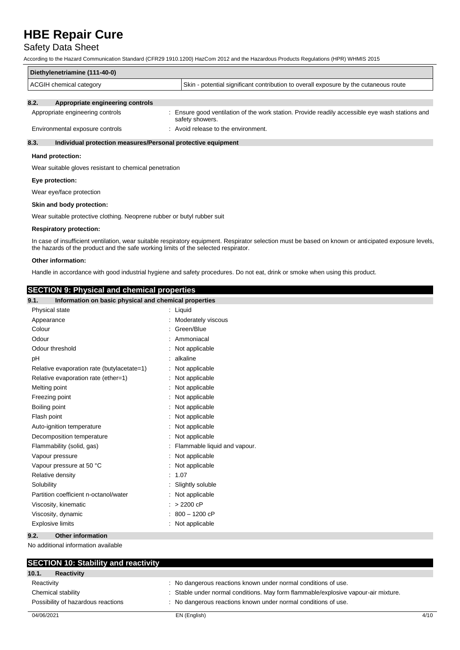## Safety Data Sheet

According to the Hazard Communication Standard (CFR29 1910.1200) HazCom 2012 and the Hazardous Products Regulations (HPR) WHMIS 2015

| Diethylenetriamine (111-40-0) |                                                                                      |  |  |  |
|-------------------------------|--------------------------------------------------------------------------------------|--|--|--|
| ACGIH chemical category       | Skin - potential significant contribution to overall exposure by the cutaneous route |  |  |  |
|                               |                                                                                      |  |  |  |

## **8.2. Appropriate engineering controls**

| Appropriate engineering controls | Ensure good ventilation of the work station. Provide readily accessible eye wash stations and<br>safety showers. |
|----------------------------------|------------------------------------------------------------------------------------------------------------------|
| Environmental exposure controls  | : Avoid release to the environment.                                                                              |

### **8.3. Individual protection measures/Personal protective equipment**

#### **Hand protection:**

Wear suitable gloves resistant to chemical penetration

#### **Eye protection:**

Wear eye/face protection

#### **Skin and body protection:**

Wear suitable protective clothing. Neoprene rubber or butyl rubber suit

#### **Respiratory protection:**

In case of insufficient ventilation, wear suitable respiratory equipment. Respirator selection must be based on known or anticipated exposure levels, the hazards of the product and the safe working limits of the selected respirator.

### **Other information:**

Handle in accordance with good industrial hygiene and safety procedures. Do not eat, drink or smoke when using this product.

## **SECTION 9: Physical and chemical properties**

| ----------<br>9.1.<br>Information on basic physical and chemical properties |                                |
|-----------------------------------------------------------------------------|--------------------------------|
| Physical state                                                              | : Liquid                       |
| Appearance                                                                  | : Moderately viscous           |
| Colour                                                                      | : Green/Blue                   |
| Odour                                                                       | : Ammoniacal                   |
| Odour threshold                                                             | : Not applicable               |
| pH                                                                          | : alkaline                     |
| Relative evaporation rate (butylacetate=1)                                  | : Not applicable               |
| Relative evaporation rate (ether=1)                                         | : Not applicable               |
| Melting point                                                               | : Not applicable               |
| Freezing point                                                              | : Not applicable               |
| Boiling point                                                               | : Not applicable               |
| Flash point                                                                 | : Not applicable               |
| Auto-ignition temperature                                                   | : Not applicable               |
| Decomposition temperature                                                   | : Not applicable               |
| Flammability (solid, gas)                                                   | : Flammable liquid and vapour. |
| Vapour pressure                                                             | : Not applicable               |
| Vapour pressure at 50 °C                                                    | : Not applicable               |
| Relative density                                                            | : 1.07                         |
| Solubility                                                                  | : Slightly soluble             |
| Partition coefficient n-octanol/water                                       | : Not applicable               |
| Viscosity, kinematic                                                        | $: > 2200$ cP                  |
| Viscosity, dynamic                                                          | $: 800 - 1200$ cP              |
| <b>Explosive limits</b>                                                     | : Not applicable               |
| 9.2.<br><b>Other information</b>                                            |                                |

No additional information available

| <b>SECTION 10: Stability and reactivity</b> |                                                                                    |      |
|---------------------------------------------|------------------------------------------------------------------------------------|------|
| 10.1.<br><b>Reactivity</b>                  |                                                                                    |      |
| Reactivity                                  | : No dangerous reactions known under normal conditions of use.                     |      |
| Chemical stability                          | : Stable under normal conditions. May form flammable/explosive vapour-air mixture. |      |
| Possibility of hazardous reactions          | : No dangerous reactions known under normal conditions of use.                     |      |
| 04/06/2021                                  | EN (English)                                                                       | 4/10 |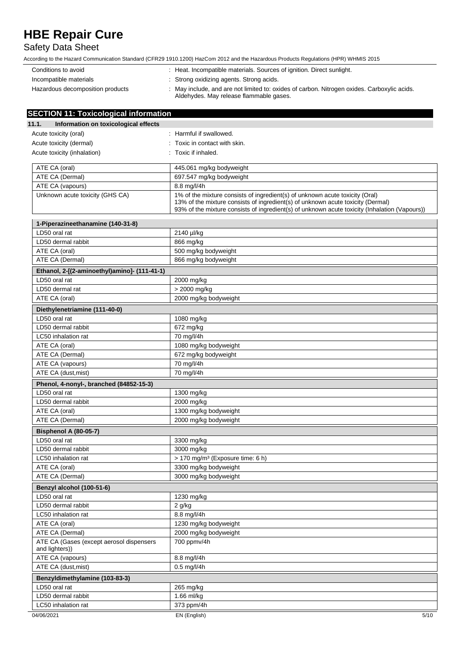## Safety Data Sheet

| Conditions to avoid              | : Heat. Incompatible materials. Sources of ignition. Direct sunlight.                                                                  |
|----------------------------------|----------------------------------------------------------------------------------------------------------------------------------------|
| Incompatible materials           | : Strong oxidizing agents. Strong acids.                                                                                               |
| Hazardous decomposition products | : May include, and are not limited to: oxides of carbon. Nitrogen oxides. Carboxylic acids.<br>Aldehydes. May release flammable gases. |

| <b>SECTION 11: Toxicological information</b>               |                                                                                                                                                                                                                                                                  |
|------------------------------------------------------------|------------------------------------------------------------------------------------------------------------------------------------------------------------------------------------------------------------------------------------------------------------------|
| 11.1.<br>Information on toxicological effects              |                                                                                                                                                                                                                                                                  |
| Acute toxicity (oral)                                      | : Harmful if swallowed.                                                                                                                                                                                                                                          |
| Acute toxicity (dermal)                                    | : Toxic in contact with skin.                                                                                                                                                                                                                                    |
| Acute toxicity (inhalation)                                | : Toxic if inhaled.                                                                                                                                                                                                                                              |
|                                                            |                                                                                                                                                                                                                                                                  |
| ATE CA (oral)                                              | 445.061 mg/kg bodyweight                                                                                                                                                                                                                                         |
| ATE CA (Dermal)                                            | 697.547 mg/kg bodyweight                                                                                                                                                                                                                                         |
| ATE CA (vapours)                                           | 8.8 mg/l/4h                                                                                                                                                                                                                                                      |
| Unknown acute toxicity (GHS CA)                            | 1% of the mixture consists of ingredient(s) of unknown acute toxicity (Oral)<br>13% of the mixture consists of ingredient(s) of unknown acute toxicity (Dermal)<br>93% of the mixture consists of ingredient(s) of unknown acute toxicity (Inhalation (Vapours)) |
| 1-Piperazineethanamine (140-31-8)                          |                                                                                                                                                                                                                                                                  |
| LD50 oral rat                                              | 2140 µl/kg                                                                                                                                                                                                                                                       |
| LD50 dermal rabbit                                         | 866 mg/kg                                                                                                                                                                                                                                                        |
| ATE CA (oral)                                              | 500 mg/kg bodyweight                                                                                                                                                                                                                                             |
| ATE CA (Dermal)                                            | 866 mg/kg bodyweight                                                                                                                                                                                                                                             |
| Ethanol, 2-[(2-aminoethyl)amino]- (111-41-1)               |                                                                                                                                                                                                                                                                  |
| LD50 oral rat                                              | 2000 mg/kg                                                                                                                                                                                                                                                       |
| LD50 dermal rat                                            | > 2000 mg/kg                                                                                                                                                                                                                                                     |
| ATE CA (oral)                                              | 2000 mg/kg bodyweight                                                                                                                                                                                                                                            |
| Diethylenetriamine (111-40-0)                              |                                                                                                                                                                                                                                                                  |
| LD50 oral rat                                              | 1080 mg/kg                                                                                                                                                                                                                                                       |
| LD50 dermal rabbit                                         | 672 mg/kg                                                                                                                                                                                                                                                        |
| LC50 inhalation rat                                        | 70 mg/l/4h                                                                                                                                                                                                                                                       |
| ATE CA (oral)                                              | 1080 mg/kg bodyweight                                                                                                                                                                                                                                            |
| ATE CA (Dermal)                                            | 672 mg/kg bodyweight                                                                                                                                                                                                                                             |
| ATE CA (vapours)                                           | 70 mg/l/4h                                                                                                                                                                                                                                                       |
| ATE CA (dust, mist)                                        | 70 mg/l/4h                                                                                                                                                                                                                                                       |
| Phenol, 4-nonyl-, branched (84852-15-3)                    |                                                                                                                                                                                                                                                                  |
| LD50 oral rat                                              | 1300 mg/kg                                                                                                                                                                                                                                                       |
| LD50 dermal rabbit                                         | 2000 mg/kg                                                                                                                                                                                                                                                       |
| ATE CA (oral)                                              | 1300 mg/kg bodyweight                                                                                                                                                                                                                                            |
| ATE CA (Dermal)                                            | 2000 mg/kg bodyweight                                                                                                                                                                                                                                            |
| <b>Bisphenol A (80-05-7)</b>                               |                                                                                                                                                                                                                                                                  |
| LD50 oral rat                                              | 3300 mg/kg                                                                                                                                                                                                                                                       |
| LD50 dermal rabbit                                         | 3000 mg/kg                                                                                                                                                                                                                                                       |
| LC50 inhalation rat                                        | > 170 mg/m <sup>3</sup> (Exposure time: 6 h)                                                                                                                                                                                                                     |
| ATE CA (oral)                                              | 3300 mg/kg bodyweight                                                                                                                                                                                                                                            |
| ATE CA (Dermal)                                            | 3000 mg/kg bodyweight                                                                                                                                                                                                                                            |
| Benzyl alcohol (100-51-6)                                  |                                                                                                                                                                                                                                                                  |
| LD50 oral rat                                              | 1230 mg/kg                                                                                                                                                                                                                                                       |
| LD50 dermal rabbit                                         | 2 g/kg                                                                                                                                                                                                                                                           |
| LC50 inhalation rat                                        | 8.8 mg/l/4h                                                                                                                                                                                                                                                      |
| ATE CA (oral)                                              | 1230 mg/kg bodyweight                                                                                                                                                                                                                                            |
| ATE CA (Dermal)                                            | 2000 mg/kg bodyweight                                                                                                                                                                                                                                            |
| ATE CA (Gases (except aerosol dispensers<br>and lighters)) | 700 ppmv/4h                                                                                                                                                                                                                                                      |
| ATE CA (vapours)                                           | 8.8 mg/l/4h                                                                                                                                                                                                                                                      |
| ATE CA (dust, mist)                                        | $0.5$ mg/l/4h                                                                                                                                                                                                                                                    |
| Benzyldimethylamine (103-83-3)                             |                                                                                                                                                                                                                                                                  |
| LD50 oral rat                                              | 265 mg/kg                                                                                                                                                                                                                                                        |
| LD50 dermal rabbit                                         | 1.66 ml/kg                                                                                                                                                                                                                                                       |
| LC50 inhalation rat                                        | 373 ppm/4h                                                                                                                                                                                                                                                       |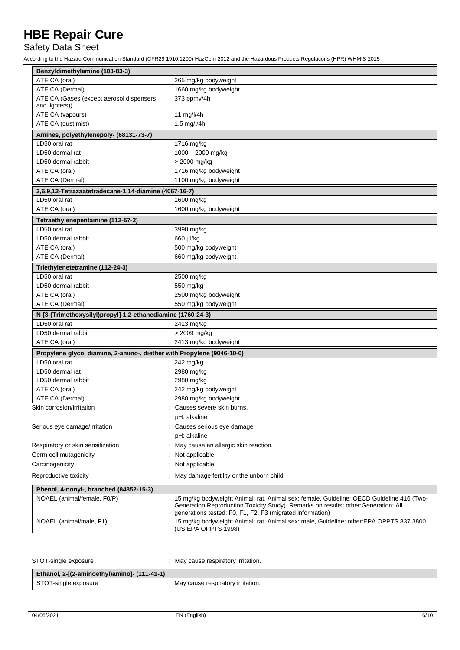## Safety Data Sheet

| Benzyldimethylamine (103-83-3)                                         |                                                                                                                                                                                                                                              |  |
|------------------------------------------------------------------------|----------------------------------------------------------------------------------------------------------------------------------------------------------------------------------------------------------------------------------------------|--|
| ATE CA (oral)                                                          | 265 mg/kg bodyweight                                                                                                                                                                                                                         |  |
| ATE CA (Dermal)                                                        | 1660 mg/kg bodyweight                                                                                                                                                                                                                        |  |
| ATE CA (Gases (except aerosol dispensers                               | 373 ppmv/4h                                                                                                                                                                                                                                  |  |
| and lighters))                                                         |                                                                                                                                                                                                                                              |  |
| ATE CA (vapours)                                                       | 11 mg/l/4h                                                                                                                                                                                                                                   |  |
| ATE CA (dust, mist)                                                    | 1.5 mg/l/4h                                                                                                                                                                                                                                  |  |
| Amines, polyethylenepoly- (68131-73-7)                                 |                                                                                                                                                                                                                                              |  |
| LD50 oral rat                                                          | 1716 mg/kg                                                                                                                                                                                                                                   |  |
| LD50 dermal rat                                                        | 1000 - 2000 mg/kg                                                                                                                                                                                                                            |  |
| LD50 dermal rabbit                                                     | > 2000 mg/kg                                                                                                                                                                                                                                 |  |
| ATE CA (oral)                                                          | 1716 mg/kg bodyweight                                                                                                                                                                                                                        |  |
| ATE CA (Dermal)                                                        | 1100 mg/kg bodyweight                                                                                                                                                                                                                        |  |
| 3,6,9,12-Tetrazaatetradecane-1,14-diamine (4067-16-7)                  |                                                                                                                                                                                                                                              |  |
| LD50 oral rat                                                          | 1600 mg/kg                                                                                                                                                                                                                                   |  |
| ATE CA (oral)                                                          | 1600 mg/kg bodyweight                                                                                                                                                                                                                        |  |
| Tetraethylenepentamine (112-57-2)                                      |                                                                                                                                                                                                                                              |  |
| LD50 oral rat                                                          | 3990 mg/kg                                                                                                                                                                                                                                   |  |
| LD50 dermal rabbit                                                     | 660 µl/kg                                                                                                                                                                                                                                    |  |
| ATE CA (oral)                                                          | 500 mg/kg bodyweight                                                                                                                                                                                                                         |  |
| ATE CA (Dermal)                                                        | 660 mg/kg bodyweight                                                                                                                                                                                                                         |  |
|                                                                        |                                                                                                                                                                                                                                              |  |
| Triethylenetetramine (112-24-3)                                        |                                                                                                                                                                                                                                              |  |
| LD50 oral rat                                                          | 2500 mg/kg                                                                                                                                                                                                                                   |  |
| LD50 dermal rabbit                                                     | 550 mg/kg                                                                                                                                                                                                                                    |  |
| ATE CA (oral)                                                          | 2500 mg/kg bodyweight                                                                                                                                                                                                                        |  |
| ATE CA (Dermal)                                                        | 550 mg/kg bodyweight                                                                                                                                                                                                                         |  |
| N-[3-(Trimethoxysilyl)propyl]-1,2-ethanediamine (1760-24-3)            |                                                                                                                                                                                                                                              |  |
| LD50 oral rat                                                          | 2413 mg/kg                                                                                                                                                                                                                                   |  |
| LD50 dermal rabbit                                                     | > 2009 mg/kg                                                                                                                                                                                                                                 |  |
| ATE CA (oral)                                                          | 2413 mg/kg bodyweight                                                                                                                                                                                                                        |  |
| Propylene glycol diamine, 2-amino-, diether with Propylene (9046-10-0) |                                                                                                                                                                                                                                              |  |
| LD50 oral rat                                                          | 242 mg/kg                                                                                                                                                                                                                                    |  |
| LD50 dermal rat                                                        | 2980 mg/kg                                                                                                                                                                                                                                   |  |
| LD50 dermal rabbit                                                     | 2980 mg/kg                                                                                                                                                                                                                                   |  |
| ATE CA (oral)                                                          | 242 mg/kg bodyweight                                                                                                                                                                                                                         |  |
| ATE CA (Dermal)                                                        | 2980 mg/kg bodyweight                                                                                                                                                                                                                        |  |
| Skin corrosion/irritation                                              | : Causes severe skin burns.                                                                                                                                                                                                                  |  |
|                                                                        | pH: alkaline                                                                                                                                                                                                                                 |  |
| Serious eye damage/irritation                                          | Causes serious eye damage.                                                                                                                                                                                                                   |  |
|                                                                        | pH: alkaline                                                                                                                                                                                                                                 |  |
| Respiratory or skin sensitization                                      | May cause an allergic skin reaction.                                                                                                                                                                                                         |  |
|                                                                        |                                                                                                                                                                                                                                              |  |
| Germ cell mutagenicity                                                 | Not applicable.                                                                                                                                                                                                                              |  |
| Carcinogenicity                                                        | Not applicable.                                                                                                                                                                                                                              |  |
| Reproductive toxicity                                                  | May damage fertility or the unborn child.                                                                                                                                                                                                    |  |
| Phenol, 4-nonyl-, branched (84852-15-3)                                |                                                                                                                                                                                                                                              |  |
| NOAEL (animal/female, F0/P)                                            | 15 mg/kg bodyweight Animal: rat, Animal sex: female, Guideline: OECD Guideline 416 (Two-<br>Generation Reproduction Toxicity Study), Remarks on results: other: Generation: All<br>generations tested: F0, F1, F2, F3 (migrated information) |  |
| NOAEL (animal/male, F1)                                                | 15 mg/kg bodyweight Animal: rat, Animal sex: male, Guideline: other:EPA OPPTS 837.3800<br>(US EPA OPPTS 1998)                                                                                                                                |  |

| STOT-single exposure                         | : May cause respiratory irritation. |
|----------------------------------------------|-------------------------------------|
| Ethanol, 2-[(2-aminoethyl)amino]- (111-41-1) |                                     |
| STOT-single exposure                         | May cause respiratory irritation.   |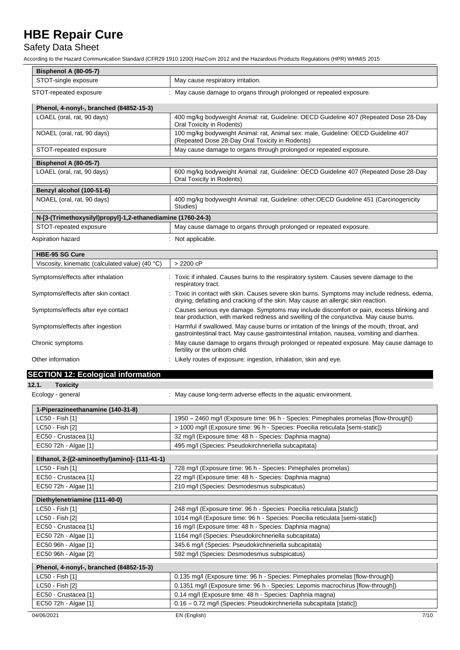## Safety Data Sheet

| Bisphenol A (80-05-7)                                       |                                                                                                                                                                                               |  |
|-------------------------------------------------------------|-----------------------------------------------------------------------------------------------------------------------------------------------------------------------------------------------|--|
| STOT-single exposure                                        | May cause respiratory irritation.                                                                                                                                                             |  |
| STOT-repeated exposure                                      | : May cause damage to organs through prolonged or repeated exposure.                                                                                                                          |  |
| Phenol, 4-nonyl-, branched (84852-15-3)                     |                                                                                                                                                                                               |  |
| LOAEL (oral, rat, 90 days)                                  | 400 mg/kg bodyweight Animal: rat, Guideline: OECD Guideline 407 (Repeated Dose 28-Day<br>Oral Toxicity in Rodents)                                                                            |  |
| NOAEL (oral, rat, 90 days)                                  | 100 mg/kg bodyweight Animal: rat, Animal sex: male, Guideline: OECD Guideline 407<br>(Repeated Dose 28-Day Oral Toxicity in Rodents)                                                          |  |
| STOT-repeated exposure                                      | May cause damage to organs through prolonged or repeated exposure.                                                                                                                            |  |
| <b>Bisphenol A (80-05-7)</b>                                |                                                                                                                                                                                               |  |
| LOAEL (oral, rat, 90 days)                                  | 600 mg/kg bodyweight Animal: rat, Guideline: OECD Guideline 407 (Repeated Dose 28-Day<br>Oral Toxicity in Rodents)                                                                            |  |
| Benzyl alcohol (100-51-6)                                   |                                                                                                                                                                                               |  |
| NOAEL (oral, rat, 90 days)                                  | 400 mg/kg bodyweight Animal: rat, Guideline: other: OECD Guideline 451 (Carcinogenicity<br>Studies)                                                                                           |  |
| N-[3-(Trimethoxysilyl)propyl]-1,2-ethanediamine (1760-24-3) |                                                                                                                                                                                               |  |
| STOT-repeated exposure                                      | May cause damage to organs through prolonged or repeated exposure.                                                                                                                            |  |
| Aspiration hazard                                           | : Not applicable.                                                                                                                                                                             |  |
| <b>HBE-95 SG Cure</b>                                       |                                                                                                                                                                                               |  |
| Viscosity, kinematic (calculated value) (40 °C)             | $> 2200$ cP                                                                                                                                                                                   |  |
| Symptoms/effects after inhalation                           | : Toxic if inhaled. Causes burns to the respiratory system. Causes severe damage to the<br>respiratory tract.                                                                                 |  |
| Symptoms/effects after skin contact                         | : Toxic in contact with skin. Causes severe skin burns. Symptoms may include redness, edema,<br>drying, defatting and cracking of the skin. May cause an allergic skin reaction.              |  |
| Symptoms/effects after eye contact                          | : Causes serious eye damage. Symptoms may include discomfort or pain, excess blinking and<br>tear production, with marked redness and swelling of the conjunctiva. May cause burns.           |  |
| Symptoms/effects after ingestion                            | Harmful if swallowed. May cause burns or irritation of the linings of the mouth, throat, and<br>gastrointestinal tract. May cause gastrointestinal irritation, nausea, vomiting and diarrhea. |  |
| Chronic symptoms                                            | : May cause damage to organs through prolonged or repeated exposure. May cause damage to<br>fertility or the unborn child.                                                                    |  |
| Other information                                           | : Likely routes of exposure: ingestion, inhalation, skin and eye.                                                                                                                             |  |
| <b>SECTION 12: Ecological information</b>                   |                                                                                                                                                                                               |  |
| 12.1.<br><b>Toxicity</b>                                    |                                                                                                                                                                                               |  |
| Ecology - general                                           | : May cause long-term adverse effects in the aquatic environment.                                                                                                                             |  |
| 1-Piperazineethanamine (140-31-8)                           |                                                                                                                                                                                               |  |
| LC50 - Fish [1]                                             | 1950 - 2460 mg/l (Exposure time: 96 h - Species: Pimephales promelas [flow-through])                                                                                                          |  |
| LC50 - Fish [2]                                             | > 1000 mg/l (Exposure time: 96 h - Species: Poecilia reticulata [semi-static])                                                                                                                |  |
| EC50 - Crustacea [1]                                        | 32 mg/l (Exposure time: 48 h - Species: Daphnia magna)                                                                                                                                        |  |
| EC50 72h - Algae [1]                                        | 495 mg/l (Species: Pseudokirchneriella subcapitata)                                                                                                                                           |  |
| Ethanol, 2-[(2-aminoethyl)amino]- (111-41-1)                |                                                                                                                                                                                               |  |
| LC50 - Fish [1]                                             | 728 mg/l (Exposure time: 96 h - Species: Pimephales promelas)                                                                                                                                 |  |
| EC50 - Crustacea [1]                                        | 22 mg/l (Exposure time: 48 h - Species: Daphnia magna)                                                                                                                                        |  |
| EC50 72h - Algae [1]                                        | 210 mg/l (Species: Desmodesmus subspicatus)                                                                                                                                                   |  |
| Diethylenetriamine (111-40-0)                               |                                                                                                                                                                                               |  |
| LC50 - Fish [1]                                             | 248 mg/l (Exposure time: 96 h - Species: Poecilia reticulata [static])                                                                                                                        |  |
| LC50 - Fish [2]                                             | 1014 mg/l (Exposure time: 96 h - Species: Poecilia reticulata [semi-static])                                                                                                                  |  |
| EC50 - Crustacea [1]                                        | 16 mg/l (Exposure time: 48 h - Species: Daphnia magna)                                                                                                                                        |  |
| EC50 72h - Algae [1]                                        | 1164 mg/l (Species: Pseudokirchneriella subcapitata)                                                                                                                                          |  |
| EC50 96h - Algae [1]                                        | 345.6 mg/l (Species: Pseudokirchneriella subcapitata)                                                                                                                                         |  |
| EC50 96h - Algae [2]                                        | 592 mg/l (Species: Desmodesmus subspicatus)                                                                                                                                                   |  |
| Phenol, 4-nonyl-, branched (84852-15-3)                     |                                                                                                                                                                                               |  |
| LC50 - Fish [1]                                             | 0.135 mg/l (Exposure time: 96 h - Species: Pimephales promelas [flow-through])                                                                                                                |  |
| LC50 - Fish [2]                                             | 0.1351 mg/l (Exposure time: 96 h - Species: Lepomis macrochirus [flow-through])                                                                                                               |  |
| EC50 - Crustacea [1]                                        | 0.14 mg/l (Exposure time: 48 h - Species: Daphnia magna)                                                                                                                                      |  |
| EC50 72h - Algae [1]                                        | 0.16 - 0.72 mg/l (Species: Pseudokirchneriella subcapitata [static])                                                                                                                          |  |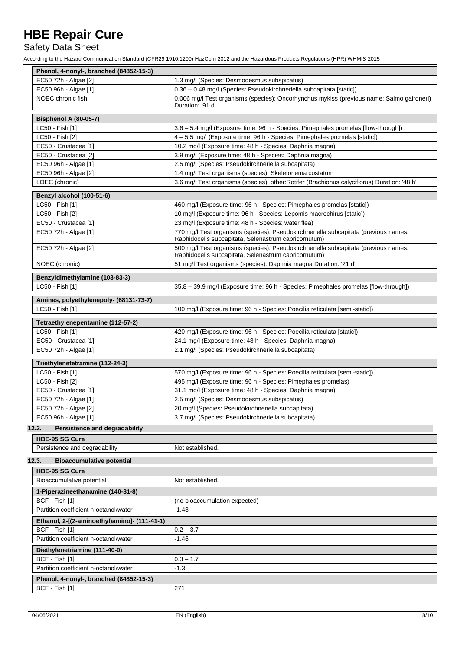## Safety Data Sheet

| Phenol, 4-nonyl-, branched (84852-15-3)      |                                                                                                                                             |  |
|----------------------------------------------|---------------------------------------------------------------------------------------------------------------------------------------------|--|
| EC50 72h - Algae [2]                         | 1.3 mg/l (Species: Desmodesmus subspicatus)                                                                                                 |  |
| EC50 96h - Algae [1]                         | 0.36 - 0.48 mg/l (Species: Pseudokirchneriella subcapitata [static])                                                                        |  |
| NOEC chronic fish                            | 0.006 mg/l Test organisms (species): Oncorhynchus mykiss (previous name: Salmo gairdneri)<br>Duration: '91 d'                               |  |
| Bisphenol A (80-05-7)                        |                                                                                                                                             |  |
| LC50 - Fish [1]                              | 3.6 - 5.4 mg/l (Exposure time: 96 h - Species: Pimephales promelas [flow-through])                                                          |  |
| LC50 - Fish [2]                              | 4 - 5.5 mg/l (Exposure time: 96 h - Species: Pimephales promelas [static])                                                                  |  |
| EC50 - Crustacea [1]                         | 10.2 mg/l (Exposure time: 48 h - Species: Daphnia magna)                                                                                    |  |
| EC50 - Crustacea [2]                         | 3.9 mg/l (Exposure time: 48 h - Species: Daphnia magna)                                                                                     |  |
| EC50 96h - Algae [1]                         | 2.5 mg/l (Species: Pseudokirchneriella subcapitata)                                                                                         |  |
| EC50 96h - Algae [2]                         | 1.4 mg/l Test organisms (species): Skeletonema costatum                                                                                     |  |
| LOEC (chronic)                               | 3.6 mg/l Test organisms (species): other: Rotifer (Brachionus calyciflorus) Duration: '48 h'                                                |  |
| Benzyl alcohol (100-51-6)                    |                                                                                                                                             |  |
| LC50 - Fish [1]                              | 460 mg/l (Exposure time: 96 h - Species: Pimephales promelas [static])                                                                      |  |
| LC50 - Fish [2]                              | 10 mg/l (Exposure time: 96 h - Species: Lepomis macrochirus [static])                                                                       |  |
| EC50 - Crustacea [1]                         | 23 mg/l (Exposure time: 48 h - Species: water flea)                                                                                         |  |
| EC50 72h - Algae [1]                         | 770 mg/l Test organisms (species): Pseudokirchneriella subcapitata (previous names:<br>Raphidocelis subcapitata, Selenastrum capricornutum) |  |
| EC50 72h - Algae [2]                         | 500 mg/l Test organisms (species): Pseudokirchneriella subcapitata (previous names:<br>Raphidocelis subcapitata, Selenastrum capricornutum) |  |
| NOEC (chronic)                               | 51 mg/l Test organisms (species): Daphnia magna Duration: '21 d'                                                                            |  |
| Benzyldimethylamine (103-83-3)               |                                                                                                                                             |  |
| LC50 - Fish [1]                              | 35.8 - 39.9 mg/l (Exposure time: 96 h - Species: Pimephales promelas [flow-through])                                                        |  |
| Amines, polyethylenepoly- (68131-73-7)       |                                                                                                                                             |  |
| LC50 - Fish [1]                              | 100 mg/l (Exposure time: 96 h - Species: Poecilia reticulata [semi-static])                                                                 |  |
| Tetraethylenepentamine (112-57-2)            |                                                                                                                                             |  |
| LC50 - Fish [1]                              | 420 mg/l (Exposure time: 96 h - Species: Poecilia reticulata [static])                                                                      |  |
| EC50 - Crustacea [1]                         | 24.1 mg/l (Exposure time: 48 h - Species: Daphnia magna)                                                                                    |  |
| EC50 72h - Algae [1]                         | 2.1 mg/l (Species: Pseudokirchneriella subcapitata)                                                                                         |  |
| Triethylenetetramine (112-24-3)              |                                                                                                                                             |  |
| LC50 - Fish [1]                              | 570 mg/l (Exposure time: 96 h - Species: Poecilia reticulata [semi-static])                                                                 |  |
| LC50 - Fish [2]                              | 495 mg/l (Exposure time: 96 h - Species: Pimephales promelas)                                                                               |  |
| EC50 - Crustacea [1]                         | 31.1 mg/l (Exposure time: 48 h - Species: Daphnia magna)                                                                                    |  |
| EC50 72h - Algae [1]                         | 2.5 mg/l (Species: Desmodesmus subspicatus)                                                                                                 |  |
| EC50 72h - Algae [2]                         | 20 mg/l (Species: Pseudokirchneriella subcapitata)                                                                                          |  |
| EC50 96h - Algae [1]                         | 3.7 mg/l (Species: Pseudokirchneriella subcapitata)                                                                                         |  |
| 12.2.<br>Persistence and degradability       |                                                                                                                                             |  |
| <b>HBE-95 SG Cure</b>                        |                                                                                                                                             |  |
| Persistence and degradability                | Not established.                                                                                                                            |  |
| 12.3.<br><b>Bioaccumulative potential</b>    |                                                                                                                                             |  |
| <b>HBE-95 SG Cure</b>                        |                                                                                                                                             |  |
| Bioaccumulative potential                    | Not established.                                                                                                                            |  |
| 1-Piperazineethanamine (140-31-8)            |                                                                                                                                             |  |
| BCF - Fish [1]                               | (no bioaccumulation expected)                                                                                                               |  |
| Partition coefficient n-octanol/water        | $-1.48$                                                                                                                                     |  |
| Ethanol, 2-[(2-aminoethyl)amino]- (111-41-1) |                                                                                                                                             |  |
| BCF - Fish [1]                               | $0.2 - 3.7$                                                                                                                                 |  |
| Partition coefficient n-octanol/water        | $-1.46$                                                                                                                                     |  |
| Diethylenetriamine (111-40-0)                |                                                                                                                                             |  |
| BCF - Fish [1]                               | $0.3 - 1.7$                                                                                                                                 |  |
| Partition coefficient n-octanol/water        | $-1.3$                                                                                                                                      |  |
| Phenol, 4-nonyl-, branched (84852-15-3)      |                                                                                                                                             |  |
| BCF - Fish [1]                               | 271                                                                                                                                         |  |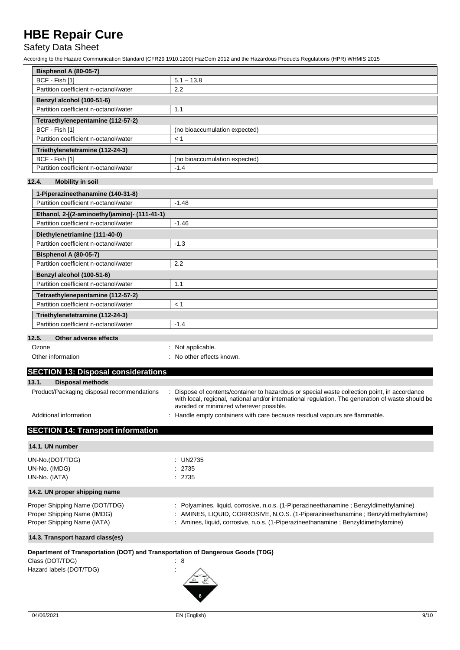## Safety Data Sheet

According to the Hazard Communication Standard (CFR29 1910.1200) HazCom 2012 and the Hazardous Products Regulations (HPR) WHMIS 2015

| <b>Bisphenol A (80-05-7)</b>          |                               |  |
|---------------------------------------|-------------------------------|--|
| BCF - Fish [1]                        | $5.1 - 13.8$                  |  |
| Partition coefficient n-octanol/water | 2.2                           |  |
| Benzyl alcohol (100-51-6)             |                               |  |
| Partition coefficient n-octanol/water | 1.1                           |  |
| Tetraethylenepentamine (112-57-2)     |                               |  |
| BCF - Fish [1]                        | (no bioaccumulation expected) |  |
| Partition coefficient n-octanol/water | < 1                           |  |
| Triethylenetetramine (112-24-3)       |                               |  |
| BCF - Fish [1]                        | (no bioaccumulation expected) |  |
| Partition coefficient n-octanol/water | $-1.4$                        |  |

### **12.4. Mobility in soil**

| 1-Piperazineethanamine (140-31-8)                   |         |  |
|-----------------------------------------------------|---------|--|
| Partition coefficient n-octanol/water               | $-1.48$ |  |
| Ethanol, 2-[(2-aminoethyl)amino]- (111-41-1)        |         |  |
| Partition coefficient n-octanol/water               | $-1.46$ |  |
| Diethylenetriamine (111-40-0)                       |         |  |
| Partition coefficient n-octanol/water               | $-1.3$  |  |
| <b>Bisphenol A (80-05-7)</b>                        |         |  |
| Partition coefficient n-octanol/water               | 2.2     |  |
| Benzyl alcohol (100-51-6)                           |         |  |
| Partition coefficient n-octanol/water               | 1.1     |  |
| Tetraethylenepentamine (112-57-2)                   |         |  |
| Partition coefficient n-octanol/water               | < 1     |  |
| Triethylenetetramine (112-24-3)                     |         |  |
| Partition coefficient n-octanol/water               | $-1.4$  |  |
| $\sim$<br>$\sim$ $\sim$ $\sim$ $\sim$ $\sim$ $\sim$ |         |  |

#### **12.5. Other adverse effects**

| Ozone | : Not applicable. |
|-------|-------------------|
|       |                   |

|  |  | Other information |
|--|--|-------------------|
|--|--|-------------------|

: No other effects known.

## **SECTION 13: Disposal considerations 13.1. Disposal methods** Product/Packaging disposal recommendations : Dispose of contents/container to hazardous or special waste collection point, in accordance with local, regional, national and/or international regulation. The generation of waste should be avoided or minimized wherever possible.

Additional information **interest in the containers** : Handle empty containers with care because residual vapours are flammable.

## **SECTION 14: Transport information**

| 14.1. UN number                                                                                                              |                                                                                                                                                                                                                                                                  |
|------------------------------------------------------------------------------------------------------------------------------|------------------------------------------------------------------------------------------------------------------------------------------------------------------------------------------------------------------------------------------------------------------|
| UN-No.(DOT/TDG)<br>UN-No. (IMDG)<br>UN-No. (IATA)                                                                            | : UN2735<br>: 2735<br>: 2735                                                                                                                                                                                                                                     |
| 14.2. UN proper shipping name                                                                                                |                                                                                                                                                                                                                                                                  |
| Proper Shipping Name (DOT/TDG)<br>Proper Shipping Name (IMDG)<br>Proper Shipping Name (IATA)                                 | : Polyamines, liquid, corrosive, n.o.s. (1-Piperazineethanamine; Benzyldimethylamine)<br>: AMINES, LIQUID, CORROSIVE, N.O.S. (1-Piperazineethanamine; Benzyldimethylamine)<br>: Amines, liquid, corrosive, n.o.s. (1-Piperazineethanamine ; Benzyldimethylamine) |
| 14.3. Transport hazard class(es)                                                                                             |                                                                                                                                                                                                                                                                  |
| Department of Transportation (DOT) and Transportation of Dangerous Goods (TDG)<br>Class (DOT/TDG)<br>Hazard labels (DOT/TDG) | : 8                                                                                                                                                                                                                                                              |